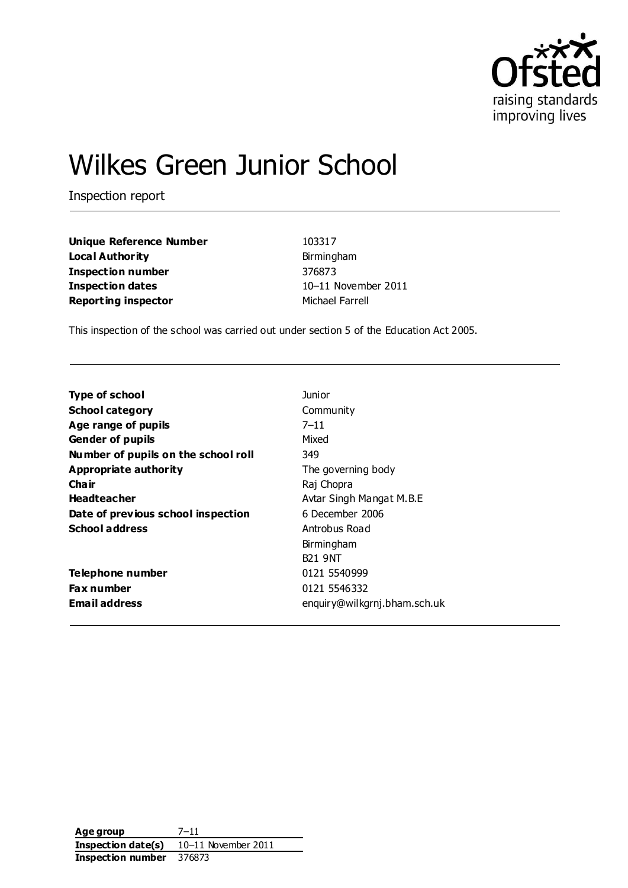

# Wilkes Green Junior School

Inspection report

**Unique Reference Number** 103317 **Local Authority Birmingham Inspection number** 376873 **Inspection dates** 10–11 November 2011 **Reporting inspector** Michael Farrell

This inspection of the school was carried out under section 5 of the Education Act 2005.

| <b>Type of school</b>               | Junior                       |
|-------------------------------------|------------------------------|
| <b>School category</b>              | Community                    |
| Age range of pupils                 | $7 - 11$                     |
| <b>Gender of pupils</b>             | Mixed                        |
| Number of pupils on the school roll | 349                          |
| Appropriate authority               | The governing body           |
| Cha ir                              | Raj Chopra                   |
| <b>Headteacher</b>                  | Avtar Singh Mangat M.B.E     |
| Date of previous school inspection  | 6 December 2006              |
| <b>School address</b>               | Antrobus Road                |
|                                     | Birmingham                   |
|                                     | <b>B21 9NT</b>               |
| Telephone number                    | 0121 5540999                 |
| <b>Fax number</b>                   | 0121 5546332                 |
| <b>Email address</b>                | enquiry@wilkgrnj.bham.sch.uk |
|                                     |                              |

**Age group** 7–11 **Inspection date(s)** 10–11 November 2011 **Inspection number** 376873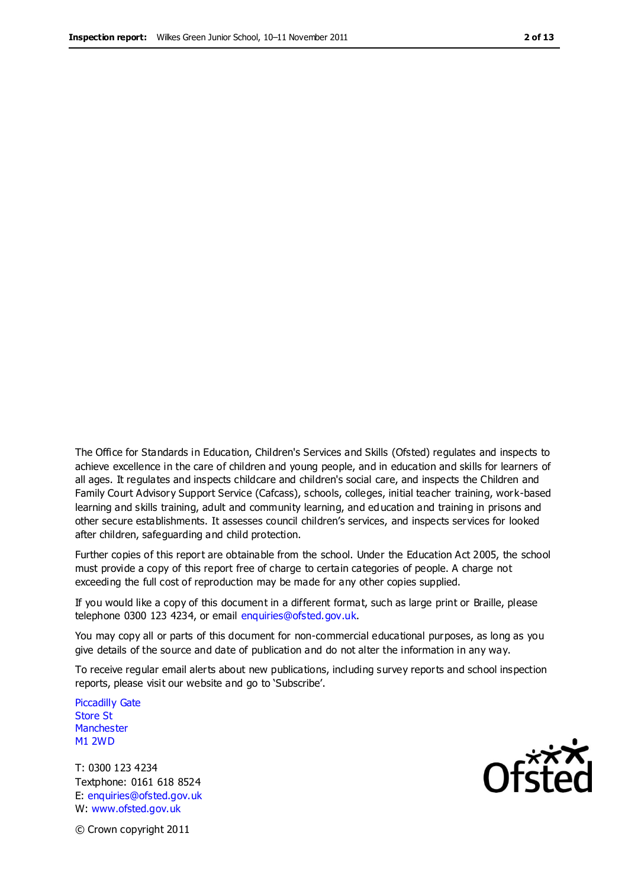The Office for Standards in Education, Children's Services and Skills (Ofsted) regulates and inspects to achieve excellence in the care of children and young people, and in education and skills for learners of all ages. It regulates and inspects childcare and children's social care, and inspects the Children and Family Court Advisory Support Service (Cafcass), schools, colleges, initial teacher training, work-based learning and skills training, adult and community learning, and education and training in prisons and other secure establishments. It assesses council children's services, and inspects services for looked after children, safeguarding and child protection.

Further copies of this report are obtainable from the school. Under the Education Act 2005, the school must provide a copy of this report free of charge to certain categories of people. A charge not exceeding the full cost of reproduction may be made for any other copies supplied.

If you would like a copy of this document in a different format, such as large print or Braille, please telephone 0300 123 4234, or email enquiries@ofsted.gov.uk.

You may copy all or parts of this document for non-commercial educational purposes, as long as you give details of the source and date of publication and do not alter the information in any way.

To receive regular email alerts about new publications, including survey reports and school inspection reports, please visit our website and go to 'Subscribe'.

Piccadilly Gate Store St **Manchester** M1 2WD

T: 0300 123 4234 Textphone: 0161 618 8524 E: enquiries@ofsted.gov.uk W: www.ofsted.gov.uk

**Ofsted** 

© Crown copyright 2011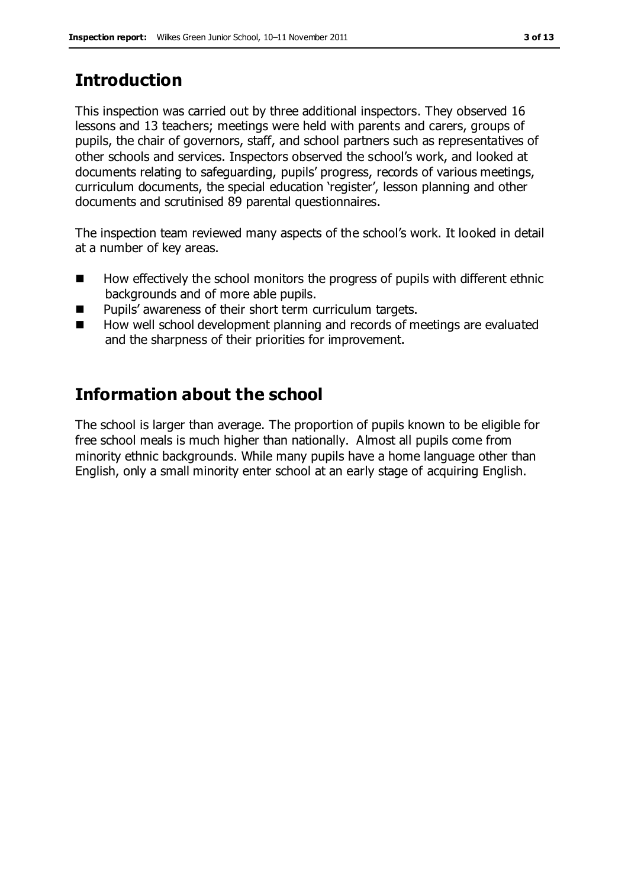# **Introduction**

This inspection was carried out by three additional inspectors. They observed 16 lessons and 13 teachers; meetings were held with parents and carers, groups of pupils, the chair of governors, staff, and school partners such as representatives of other schools and services. Inspectors observed the school's work, and looked at documents relating to safeguarding, pupils' progress, records of various meetings, curriculum documents, the special education 'register', lesson planning and other documents and scrutinised 89 parental questionnaires.

The inspection team reviewed many aspects of the school's work. It looked in detail at a number of key areas.

- How effectively the school monitors the progress of pupils with different ethnic backgrounds and of more able pupils.
- **Pupils' awareness of their short term curriculum targets.**
- How well school development planning and records of meetings are evaluated and the sharpness of their priorities for improvement.

## **Information about the school**

The school is larger than average. The proportion of pupils known to be eligible for free school meals is much higher than nationally. Almost all pupils come from minority ethnic backgrounds. While many pupils have a home language other than English, only a small minority enter school at an early stage of acquiring English.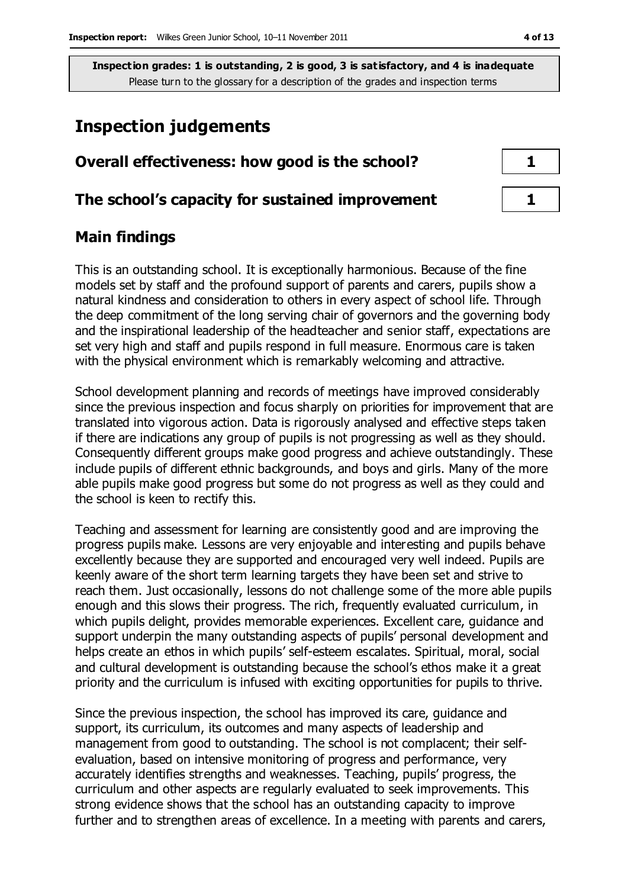## **Inspection judgements**

| Overall effectiveness: how good is the school?  |  |  |
|-------------------------------------------------|--|--|
| The school's capacity for sustained improvement |  |  |

#### **Main findings**

This is an outstanding school. It is exceptionally harmonious. Because of the fine models set by staff and the profound support of parents and carers, pupils show a natural kindness and consideration to others in every aspect of school life. Through the deep commitment of the long serving chair of governors and the governing body and the inspirational leadership of the headteacher and senior staff, expectations are set very high and staff and pupils respond in full measure. Enormous care is taken with the physical environment which is remarkably welcoming and attractive.

School development planning and records of meetings have improved considerably since the previous inspection and focus sharply on priorities for improvement that are translated into vigorous action. Data is rigorously analysed and effective steps taken if there are indications any group of pupils is not progressing as well as they should. Consequently different groups make good progress and achieve outstandingly. These include pupils of different ethnic backgrounds, and boys and girls. Many of the more able pupils make good progress but some do not progress as well as they could and the school is keen to rectify this.

Teaching and assessment for learning are consistently good and are improving the progress pupils make. Lessons are very enjoyable and interesting and pupils behave excellently because they are supported and encouraged very well indeed. Pupils are keenly aware of the short term learning targets they have been set and strive to reach them. Just occasionally, lessons do not challenge some of the more able pupils enough and this slows their progress. The rich, frequently evaluated curriculum, in which pupils delight, provides memorable experiences. Excellent care, guidance and support underpin the many outstanding aspects of pupils' personal development and helps create an ethos in which pupils' self-esteem escalates. Spiritual, moral, social and cultural development is outstanding because the school's ethos make it a great priority and the curriculum is infused with exciting opportunities for pupils to thrive.

Since the previous inspection, the school has improved its care, guidance and support, its curriculum, its outcomes and many aspects of leadership and management from good to outstanding. The school is not complacent; their selfevaluation, based on intensive monitoring of progress and performance, very accurately identifies strengths and weaknesses. Teaching, pupils' progress, the curriculum and other aspects are regularly evaluated to seek improvements. This strong evidence shows that the school has an outstanding capacity to improve further and to strengthen areas of excellence. In a meeting with parents and carers,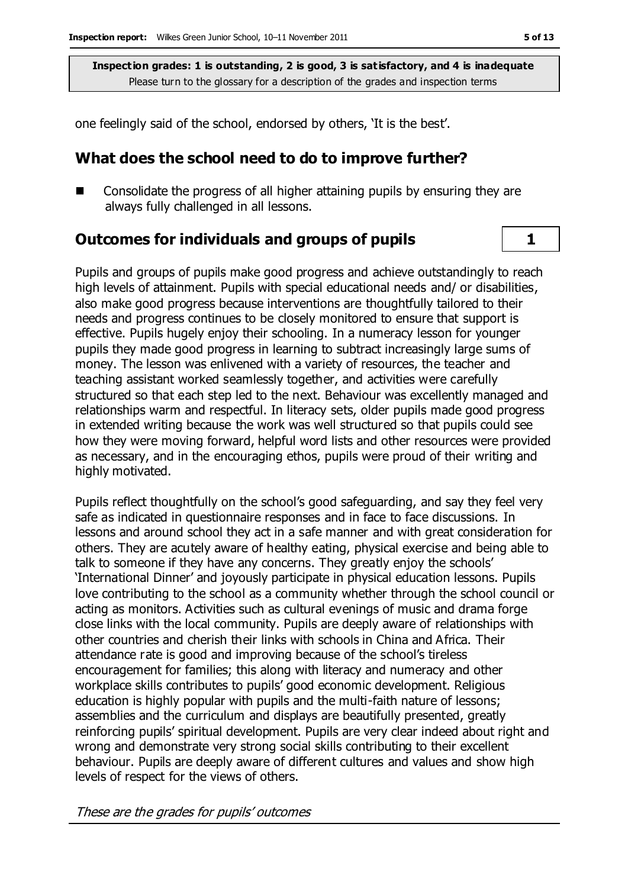one feelingly said of the school, endorsed by others, 'It is the best'.

## **What does the school need to do to improve further?**

■ Consolidate the progress of all higher attaining pupils by ensuring they are always fully challenged in all lessons.

### **Outcomes for individuals and groups of pupils 1**

Pupils and groups of pupils make good progress and achieve outstandingly to reach high levels of attainment. Pupils with special educational needs and/ or disabilities, also make good progress because interventions are thoughtfully tailored to their needs and progress continues to be closely monitored to ensure that support is effective. Pupils hugely enjoy their schooling. In a numeracy lesson for younger pupils they made good progress in learning to subtract increasingly large sums of money. The lesson was enlivened with a variety of resources, the teacher and teaching assistant worked seamlessly together, and activities were carefully structured so that each step led to the next. Behaviour was excellently managed and relationships warm and respectful. In literacy sets, older pupils made good progress in extended writing because the work was well structured so that pupils could see how they were moving forward, helpful word lists and other resources were provided as necessary, and in the encouraging ethos, pupils were proud of their writing and highly motivated.

Pupils reflect thoughtfully on the school's good safeguarding, and say they feel very safe as indicated in questionnaire responses and in face to face discussions. In lessons and around school they act in a safe manner and with great consideration for others. They are acutely aware of healthy eating, physical exercise and being able to talk to someone if they have any concerns. They greatly enjoy the schools' 'International Dinner' and joyously participate in physical education lessons. Pupils love contributing to the school as a community whether through the school council or acting as monitors. Activities such as cultural evenings of music and drama forge close links with the local community. Pupils are deeply aware of relationships with other countries and cherish their links with schools in China and Africa. Their attendance rate is good and improving because of the school's tireless encouragement for families; this along with literacy and numeracy and other workplace skills contributes to pupils' good economic development. Religious education is highly popular with pupils and the multi-faith nature of lessons; assemblies and the curriculum and displays are beautifully presented, greatly reinforcing pupils' spiritual development. Pupils are very clear indeed about right and wrong and demonstrate very strong social skills contributing to their excellent behaviour. Pupils are deeply aware of different cultures and values and show high levels of respect for the views of others.

These are the grades for pupils' outcomes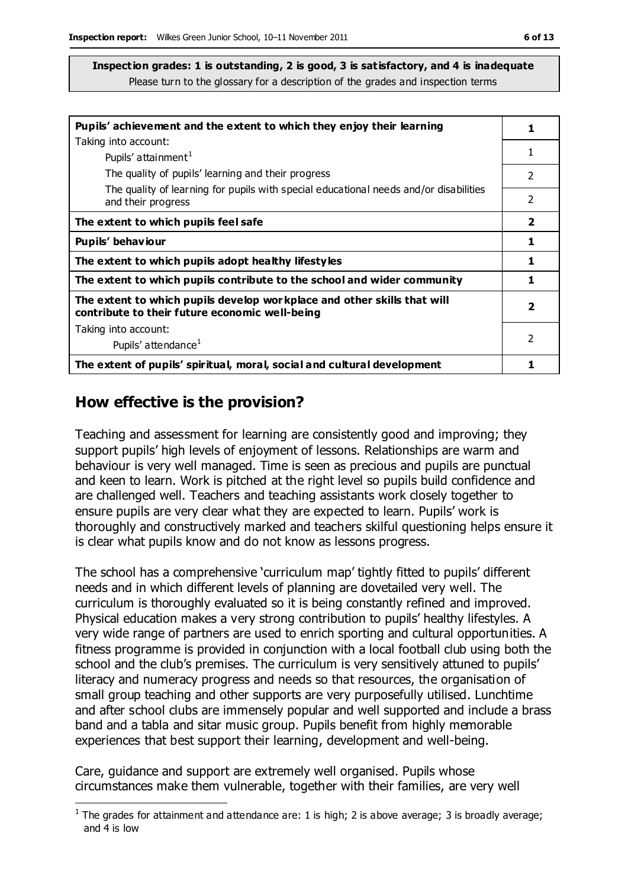| Pupils' achievement and the extent to which they enjoy their learning                                                      |                         |  |
|----------------------------------------------------------------------------------------------------------------------------|-------------------------|--|
| Taking into account:                                                                                                       |                         |  |
| Pupils' attainment <sup>1</sup>                                                                                            | 1                       |  |
| The quality of pupils' learning and their progress                                                                         | $\mathcal{P}$           |  |
| The quality of learning for pupils with special educational needs and/or disabilities                                      |                         |  |
| and their progress                                                                                                         | 2                       |  |
| The extent to which pupils feel safe                                                                                       | $\overline{\mathbf{2}}$ |  |
| Pupils' behaviour                                                                                                          | 1                       |  |
| The extent to which pupils adopt healthy lifestyles                                                                        | 1                       |  |
| The extent to which pupils contribute to the school and wider community                                                    | 1                       |  |
| The extent to which pupils develop wor kplace and other skills that will<br>contribute to their future economic well-being | $\overline{2}$          |  |
| Taking into account:                                                                                                       |                         |  |
| Pupils' attendance <sup>1</sup>                                                                                            | 2                       |  |
| The extent of pupils' spiritual, moral, social and cultural development                                                    |                         |  |

#### **How effective is the provision?**

Teaching and assessment for learning are consistently good and improving; they support pupils' high levels of enjoyment of lessons. Relationships are warm and behaviour is very well managed. Time is seen as precious and pupils are punctual and keen to learn. Work is pitched at the right level so pupils build confidence and are challenged well. Teachers and teaching assistants work closely together to ensure pupils are very clear what they are expected to learn. Pupils' work is thoroughly and constructively marked and teachers skilful questioning helps ensure it is clear what pupils know and do not know as lessons progress.

The school has a comprehensive 'curriculum map' tightly fitted to pupils' different needs and in which different levels of planning are dovetailed very well. The curriculum is thoroughly evaluated so it is being constantly refined and improved. Physical education makes a very strong contribution to pupils' healthy lifestyles. A very wide range of partners are used to enrich sporting and cultural opportunities. A fitness programme is provided in conjunction with a local football club using both the school and the club's premises. The curriculum is very sensitively attuned to pupils' literacy and numeracy progress and needs so that resources, the organisation of small group teaching and other supports are very purposefully utilised. Lunchtime and after school clubs are immensely popular and well supported and include a brass band and a tabla and sitar music group. Pupils benefit from highly memorable experiences that best support their learning, development and well-being.

Care, guidance and support are extremely well organised. Pupils whose circumstances make them vulnerable, together with their families, are very well

 $\overline{a}$ <sup>1</sup> The grades for attainment and attendance are: 1 is high; 2 is above average; 3 is broadly average; and 4 is low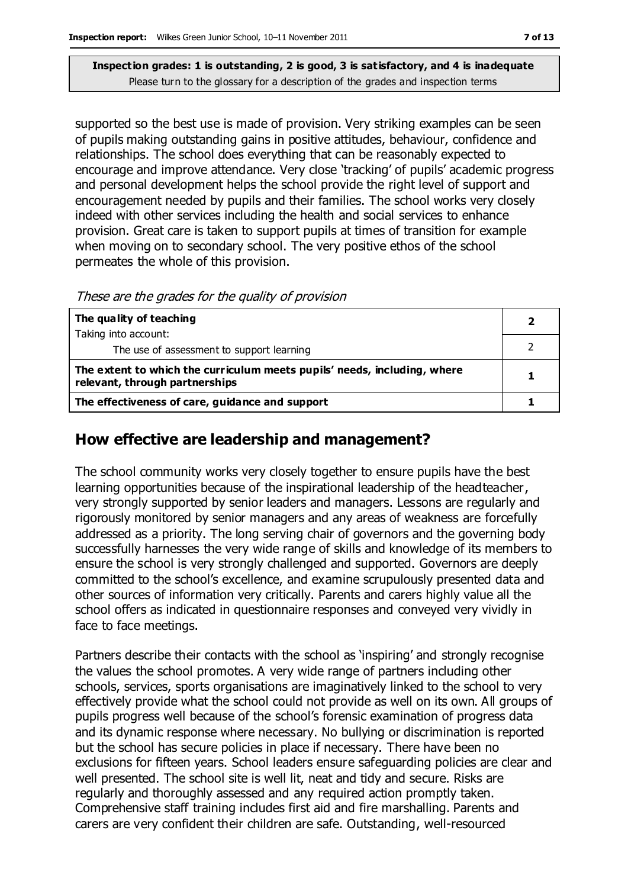supported so the best use is made of provision. Very striking examples can be seen of pupils making outstanding gains in positive attitudes, behaviour, confidence and relationships. The school does everything that can be reasonably expected to encourage and improve attendance. Very close 'tracking' of pupils' academic progress and personal development helps the school provide the right level of support and encouragement needed by pupils and their families. The school works very closely indeed with other services including the health and social services to enhance provision. Great care is taken to support pupils at times of transition for example when moving on to secondary school. The very positive ethos of the school permeates the whole of this provision.

These are the grades for the quality of provision

| The quality of teaching                                                                                    |  |
|------------------------------------------------------------------------------------------------------------|--|
| Taking into account:                                                                                       |  |
| The use of assessment to support learning                                                                  |  |
| The extent to which the curriculum meets pupils' needs, including, where<br>relevant, through partnerships |  |
| The effectiveness of care, guidance and support                                                            |  |

#### **How effective are leadership and management?**

The school community works very closely together to ensure pupils have the best learning opportunities because of the inspirational leadership of the headteacher, very strongly supported by senior leaders and managers. Lessons are regularly and rigorously monitored by senior managers and any areas of weakness are forcefully addressed as a priority. The long serving chair of governors and the governing body successfully harnesses the very wide range of skills and knowledge of its members to ensure the school is very strongly challenged and supported. Governors are deeply committed to the school's excellence, and examine scrupulously presented data and other sources of information very critically. Parents and carers highly value all the school offers as indicated in questionnaire responses and conveyed very vividly in face to face meetings.

Partners describe their contacts with the school as 'inspiring' and strongly recognise the values the school promotes. A very wide range of partners including other schools, services, sports organisations are imaginatively linked to the school to very effectively provide what the school could not provide as well on its own. All groups of pupils progress well because of the school's forensic examination of progress data and its dynamic response where necessary. No bullying or discrimination is reported but the school has secure policies in place if necessary. There have been no exclusions for fifteen years. School leaders ensure safeguarding policies are clear and well presented. The school site is well lit, neat and tidy and secure. Risks are regularly and thoroughly assessed and any required action promptly taken. Comprehensive staff training includes first aid and fire marshalling. Parents and carers are very confident their children are safe. Outstanding, well-resourced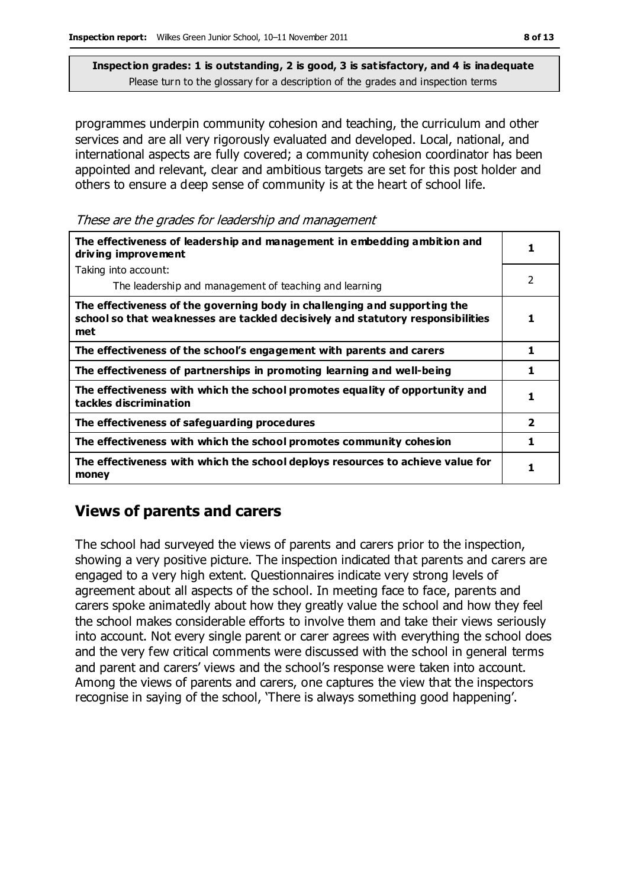programmes underpin community cohesion and teaching, the curriculum and other services and are all very rigorously evaluated and developed. Local, national, and international aspects are fully covered; a community cohesion coordinator has been appointed and relevant, clear and ambitious targets are set for this post holder and others to ensure a deep sense of community is at the heart of school life.

These are the grades for leadership and management

| The effectiveness of leadership and management in embedding ambition and<br>driving improvement                                                                     |                         |  |
|---------------------------------------------------------------------------------------------------------------------------------------------------------------------|-------------------------|--|
| Taking into account:                                                                                                                                                |                         |  |
| The leadership and management of teaching and learning                                                                                                              | 2                       |  |
| The effectiveness of the governing body in challenging and supporting the<br>school so that weaknesses are tackled decisively and statutory responsibilities<br>met | 1                       |  |
| The effectiveness of the school's engagement with parents and carers                                                                                                | 1                       |  |
| The effectiveness of partnerships in promoting learning and well-being                                                                                              | 1                       |  |
| The effectiveness with which the school promotes equality of opportunity and<br>tackles discrimination                                                              | 1                       |  |
| The effectiveness of safeguarding procedures                                                                                                                        | $\overline{\mathbf{2}}$ |  |
| The effectiveness with which the school promotes community cohesion                                                                                                 | 1                       |  |
| The effectiveness with which the school deploys resources to achieve value for<br>money                                                                             | 1                       |  |

## **Views of parents and carers**

The school had surveyed the views of parents and carers prior to the inspection, showing a very positive picture. The inspection indicated that parents and carers are engaged to a very high extent. Questionnaires indicate very strong levels of agreement about all aspects of the school. In meeting face to face, parents and carers spoke animatedly about how they greatly value the school and how they feel the school makes considerable efforts to involve them and take their views seriously into account. Not every single parent or carer agrees with everything the school does and the very few critical comments were discussed with the school in general terms and parent and carers' views and the school's response were taken into account. Among the views of parents and carers, one captures the view that the inspectors recognise in saying of the school, 'There is always something good happening'.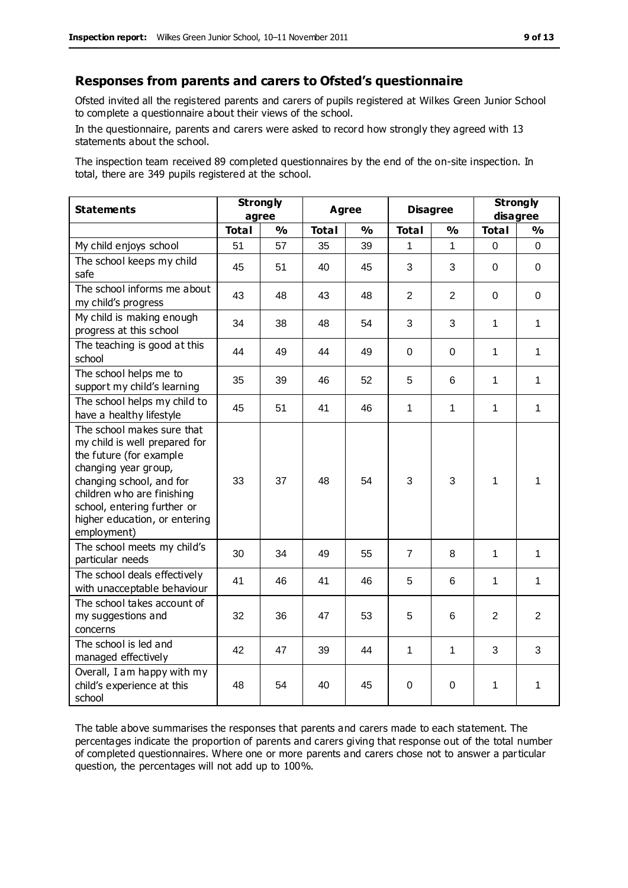#### **Responses from parents and carers to Ofsted's questionnaire**

Ofsted invited all the registered parents and carers of pupils registered at Wilkes Green Junior School to complete a questionnaire about their views of the school.

In the questionnaire, parents and carers were asked to record how strongly they agreed with 13 statements about the school.

The inspection team received 89 completed questionnaires by the end of the on-site inspection. In total, there are 349 pupils registered at the school.

| <b>Statements</b>                                                                                                                                                                                                                                       | <b>Strongly</b><br>agree |               | Agree        |               | <b>Disagree</b> |                | <b>Strongly</b><br>disagree |                |
|---------------------------------------------------------------------------------------------------------------------------------------------------------------------------------------------------------------------------------------------------------|--------------------------|---------------|--------------|---------------|-----------------|----------------|-----------------------------|----------------|
|                                                                                                                                                                                                                                                         | <b>Total</b>             | $\frac{1}{2}$ | <b>Total</b> | $\frac{1}{2}$ | <b>Total</b>    | $\frac{1}{2}$  | <b>Total</b>                | $\frac{1}{2}$  |
| My child enjoys school                                                                                                                                                                                                                                  | 51                       | 57            | 35           | 39            | 1               | 1              | 0                           | 0              |
| The school keeps my child<br>safe                                                                                                                                                                                                                       | 45                       | 51            | 40           | 45            | 3               | 3              | $\mathbf 0$                 | 0              |
| The school informs me about<br>my child's progress                                                                                                                                                                                                      | 43                       | 48            | 43           | 48            | $\overline{2}$  | $\overline{2}$ | $\Omega$                    | $\mathbf 0$    |
| My child is making enough<br>progress at this school                                                                                                                                                                                                    | 34                       | 38            | 48           | 54            | 3               | 3              | 1                           | 1              |
| The teaching is good at this<br>school                                                                                                                                                                                                                  | 44                       | 49            | 44           | 49            | 0               | $\Omega$       | $\mathbf{1}$                | $\mathbf{1}$   |
| The school helps me to<br>support my child's learning                                                                                                                                                                                                   | 35                       | 39            | 46           | 52            | 5               | 6              | $\mathbf{1}$                | 1              |
| The school helps my child to<br>have a healthy lifestyle                                                                                                                                                                                                | 45                       | 51            | 41           | 46            | $\mathbf{1}$    | 1              | $\mathbf{1}$                | $\mathbf{1}$   |
| The school makes sure that<br>my child is well prepared for<br>the future (for example<br>changing year group,<br>changing school, and for<br>children who are finishing<br>school, entering further or<br>higher education, or entering<br>employment) | 33                       | 37            | 48           | 54            | 3               | 3              | $\mathbf{1}$                | 1              |
| The school meets my child's<br>particular needs                                                                                                                                                                                                         | 30                       | 34            | 49           | 55            | 7               | 8              | 1                           | 1              |
| The school deals effectively<br>with unacceptable behaviour                                                                                                                                                                                             | 41                       | 46            | 41           | 46            | 5               | 6              | 1                           | 1              |
| The school takes account of<br>my suggestions and<br>concerns                                                                                                                                                                                           | 32                       | 36            | 47           | 53            | 5               | 6              | $\overline{2}$              | $\overline{2}$ |
| The school is led and<br>managed effectively                                                                                                                                                                                                            | 42                       | 47            | 39           | 44            | 1               | 1              | 3                           | 3              |
| Overall, I am happy with my<br>child's experience at this<br>school                                                                                                                                                                                     | 48                       | 54            | 40           | 45            | 0               | $\mathbf 0$    | 1                           | 1              |

The table above summarises the responses that parents and carers made to each statement. The percentages indicate the proportion of parents and carers giving that response out of the total number of completed questionnaires. Where one or more parents and carers chose not to answer a particular question, the percentages will not add up to 100%.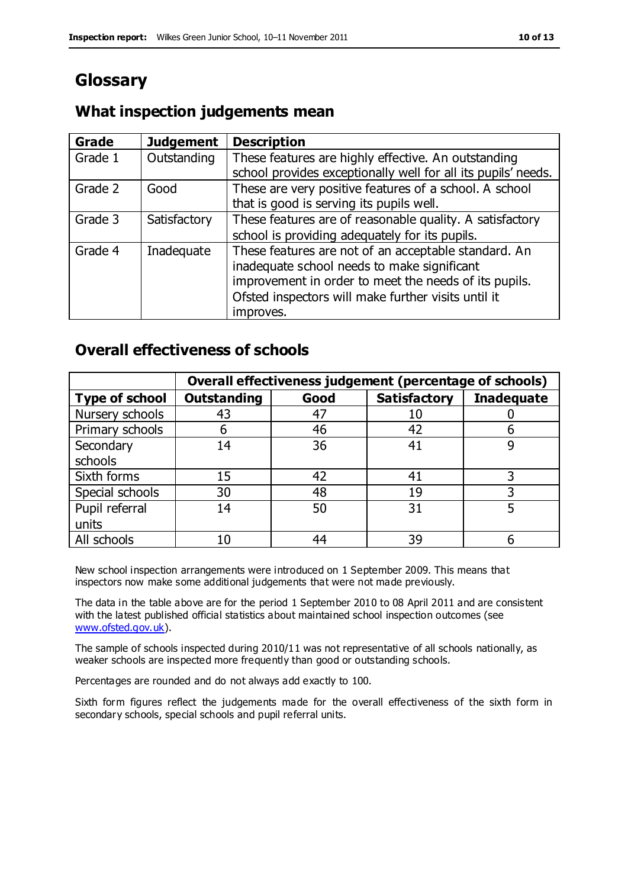# **Glossary**

#### **What inspection judgements mean**

| <b>Grade</b> | <b>Judgement</b> | <b>Description</b>                                            |
|--------------|------------------|---------------------------------------------------------------|
| Grade 1      | Outstanding      | These features are highly effective. An outstanding           |
|              |                  | school provides exceptionally well for all its pupils' needs. |
| Grade 2      | Good             | These are very positive features of a school. A school        |
|              |                  | that is good is serving its pupils well.                      |
| Grade 3      | Satisfactory     | These features are of reasonable quality. A satisfactory      |
|              |                  | school is providing adequately for its pupils.                |
| Grade 4      | Inadequate       | These features are not of an acceptable standard. An          |
|              |                  | inadequate school needs to make significant                   |
|              |                  | improvement in order to meet the needs of its pupils.         |
|              |                  | Ofsted inspectors will make further visits until it           |
|              |                  | improves.                                                     |

#### **Overall effectiveness of schools**

|                       | Overall effectiveness judgement (percentage of schools) |      |                     |                   |
|-----------------------|---------------------------------------------------------|------|---------------------|-------------------|
| <b>Type of school</b> | <b>Outstanding</b>                                      | Good | <b>Satisfactory</b> | <b>Inadequate</b> |
| Nursery schools       | 43                                                      | 47   | 10                  |                   |
| Primary schools       | 6                                                       | 46   | 42                  |                   |
| Secondary             | 14                                                      | 36   | 41                  |                   |
| schools               |                                                         |      |                     |                   |
| Sixth forms           | 15                                                      | 42   | 41                  | 3                 |
| Special schools       | 30                                                      | 48   | 19                  |                   |
| Pupil referral        | 14                                                      | 50   | 31                  |                   |
| units                 |                                                         |      |                     |                   |
| All schools           | 10                                                      | 44   | 39                  |                   |

New school inspection arrangements were introduced on 1 September 2009. This means that inspectors now make some additional judgements that were not made previously.

The data in the table above are for the period 1 September 2010 to 08 April 2011 and are consistent with the latest published official statistics about maintained school inspection outcomes (see [www.ofsted.gov.uk\)](http://www.ofsted.gov.uk/).

The sample of schools inspected during 2010/11 was not representative of all schools nationally, as weaker schools are inspected more frequently than good or outstanding schools.

Percentages are rounded and do not always add exactly to 100.

Sixth form figures reflect the judgements made for the overall effectiveness of the sixth form in secondary schools, special schools and pupil referral units.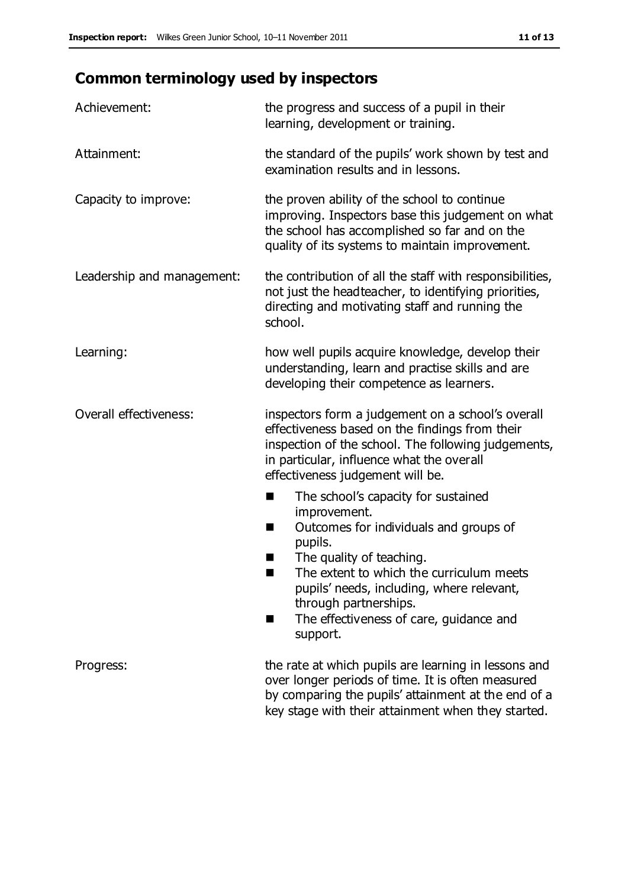# **Common terminology used by inspectors**

| Achievement:               | the progress and success of a pupil in their<br>learning, development or training.                                                                                                                                                                                                                                                |  |  |
|----------------------------|-----------------------------------------------------------------------------------------------------------------------------------------------------------------------------------------------------------------------------------------------------------------------------------------------------------------------------------|--|--|
| Attainment:                | the standard of the pupils' work shown by test and<br>examination results and in lessons.                                                                                                                                                                                                                                         |  |  |
| Capacity to improve:       | the proven ability of the school to continue<br>improving. Inspectors base this judgement on what<br>the school has accomplished so far and on the<br>quality of its systems to maintain improvement.                                                                                                                             |  |  |
| Leadership and management: | the contribution of all the staff with responsibilities,<br>not just the headteacher, to identifying priorities,<br>directing and motivating staff and running the<br>school.                                                                                                                                                     |  |  |
| Learning:                  | how well pupils acquire knowledge, develop their<br>understanding, learn and practise skills and are<br>developing their competence as learners.                                                                                                                                                                                  |  |  |
| Overall effectiveness:     | inspectors form a judgement on a school's overall<br>effectiveness based on the findings from their<br>inspection of the school. The following judgements,<br>in particular, influence what the overall<br>effectiveness judgement will be.                                                                                       |  |  |
|                            | The school's capacity for sustained<br>improvement.<br>Outcomes for individuals and groups of<br>H<br>pupils.<br>The quality of teaching.<br>ш<br>The extent to which the curriculum meets<br>×<br>pupils' needs, including, where relevant,<br>through partnerships.<br>The effectiveness of care, guidance and<br>H<br>support. |  |  |
| Progress:                  | the rate at which pupils are learning in lessons and<br>over longer periods of time. It is often measured<br>by comparing the pupils' attainment at the end of a<br>key stage with their attainment when they started.                                                                                                            |  |  |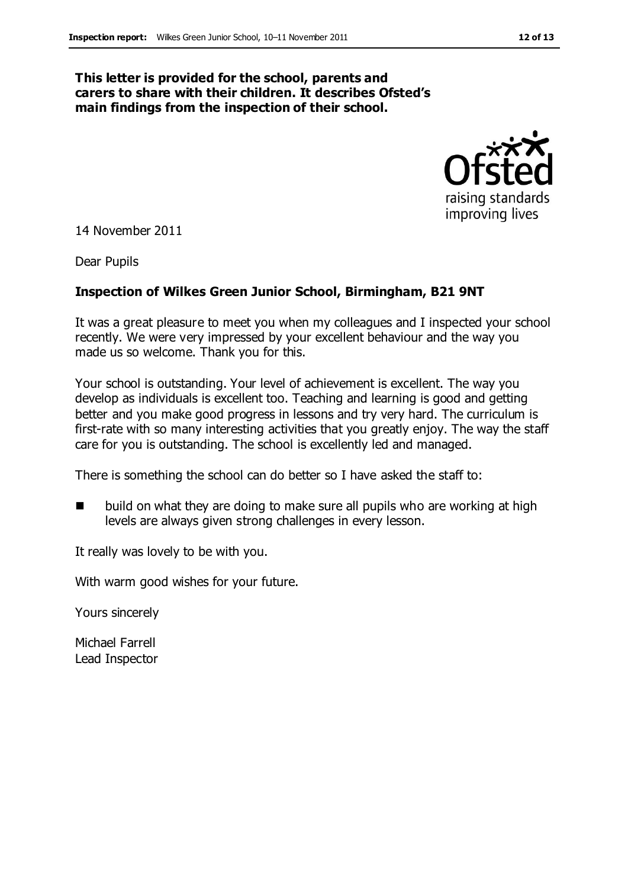#### **This letter is provided for the school, parents and carers to share with their children. It describes Ofsted's main findings from the inspection of their school.**



14 November 2011

Dear Pupils

#### **Inspection of Wilkes Green Junior School, Birmingham, B21 9NT**

It was a great pleasure to meet you when my colleagues and I inspected your school recently. We were very impressed by your excellent behaviour and the way you made us so welcome. Thank you for this.

Your school is outstanding. Your level of achievement is excellent. The way you develop as individuals is excellent too. Teaching and learning is good and getting better and you make good progress in lessons and try very hard. The curriculum is first-rate with so many interesting activities that you greatly enjoy. The way the staff care for you is outstanding. The school is excellently led and managed.

There is something the school can do better so I have asked the staff to:

 build on what they are doing to make sure all pupils who are working at high levels are always given strong challenges in every lesson.

It really was lovely to be with you.

With warm good wishes for your future.

Yours sincerely

Michael Farrell Lead Inspector